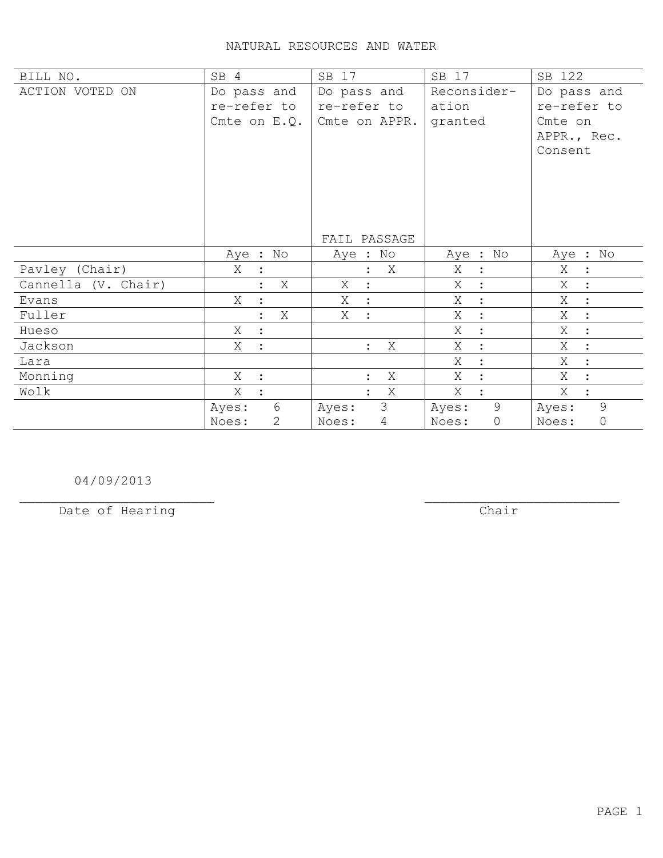## NATURAL RESOURCES AND WATER

| BILL NO.            | SB 4                | SB 17                          | SB 17                | SB 122               |
|---------------------|---------------------|--------------------------------|----------------------|----------------------|
| ACTION VOTED ON     | Do pass and         | Do pass and                    | Reconsider-          | Do pass and          |
|                     | re-refer to         | re-refer to                    | ation                | re-refer to          |
|                     | Cmte on $E. Q.$     | Cmte on APPR.                  | granted              | Cmte on              |
|                     |                     |                                |                      | APPR., Rec.          |
|                     |                     |                                |                      | Consent              |
|                     |                     |                                |                      |                      |
|                     |                     |                                |                      |                      |
|                     |                     |                                |                      |                      |
|                     |                     |                                |                      |                      |
|                     |                     |                                |                      |                      |
|                     |                     | FAIL PASSAGE                   |                      |                      |
|                     | Aye : No            | Aye : No                       | Aye : No             | Aye : No             |
| Pavley (Chair)      | Χ                   | X                              | Χ<br>$\ddot{\cdot}$  | Χ<br>$\ddot{\cdot}$  |
| Cannella (V. Chair) | Χ                   | X<br>$\ddot{\cdot}$            | X                    | Χ                    |
| Evans               | Χ<br>$\ddot{\cdot}$ | Χ<br>$\mathbb{R}$              | Χ<br>$\ddot{\cdot}$  | Χ<br>$\ddot{\cdot}$  |
| Fuller              | X                   | Χ<br>$\mathbb{R}^2$            | Χ                    | X<br>$\ddot{\cdot}$  |
| Hueso               | X                   |                                | Χ<br>$\ddot{\cdot}$  | Χ<br>$\ddot{\cdot}$  |
| Jackson             | Χ<br>$\cdot$        | X<br>$\mathbb{R}^{\mathbb{Z}}$ | X<br>$\cdot$         | X<br>$\ddot{\cdot}$  |
| Lara                |                     |                                | X                    | X<br>$\ddot{\cdot}$  |
| Monning             | Χ<br>$\ddot{\cdot}$ | X                              | X                    | X                    |
| Wolk                | X                   | X                              | X                    | X                    |
|                     | 6<br>Ayes:          | 3<br>Ayes:                     | 9<br>Ayes:           | 9<br>Ayes:           |
|                     | 2<br>Noes:          | $\overline{4}$<br>Noes:        | $\mathbb O$<br>Noes: | $\mathbb O$<br>Noes: |

04/09/2013

Date of Hearing

 $\overline{**chair**}$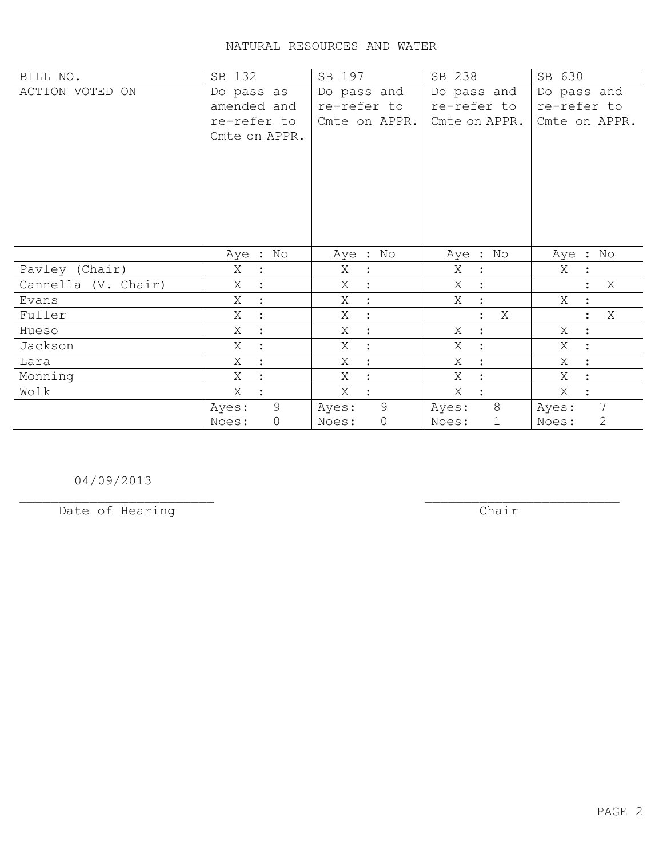## NATURAL RESOURCES AND WATER

| BILL NO.            | SB 132               | SB 197                  | SB 238               | SB 630                |
|---------------------|----------------------|-------------------------|----------------------|-----------------------|
| ACTION VOTED ON     | Do pass as           | Do pass and             | Do pass and          | Do pass and           |
|                     | amended and          | re-refer to             | re-refer to          | re-refer to           |
|                     | re-refer to          | Cmte on APPR.           | Cmte on APPR.        | Cmte on APPR.         |
|                     | Cmte on APPR.        |                         |                      |                       |
|                     |                      |                         |                      |                       |
|                     |                      |                         |                      |                       |
|                     |                      |                         |                      |                       |
|                     |                      |                         |                      |                       |
|                     |                      |                         |                      |                       |
|                     |                      |                         |                      |                       |
|                     | Aye : No             | Aye : No                | Aye : No             | Aye : No              |
| Pavley (Chair)      | Χ                    | Χ                       | Χ                    | Χ                     |
|                     | $\ddot{\cdot}$       | $\ddot{\cdot}$          | $\ddot{\cdot}$       |                       |
| Cannella (V. Chair) | Χ                    | Χ<br>$\ddot{\cdot}$     | X                    | X                     |
| Evans               | Χ<br>$\ddot{\cdot}$  | Χ<br>$\ddot{\cdot}$     | Χ<br>$\ddot{\cdot}$  | Χ                     |
| Fuller              | Χ<br>$\ddot{\cdot}$  | Χ<br>$\ddot{\cdot}$     | Χ                    | X                     |
| Hueso               | Χ<br>$\ddot{\cdot}$  | Χ<br>$\ddot{\cdot}$     | Χ<br>$\ddot{\cdot}$  | Χ<br>$\ddot{\cdot}$   |
| Jackson             | X                    | Χ<br>$\ddot{\cdot}$     | X<br>$\cdot$         | X<br>$\ddot{\cdot}$   |
| Lara                | Χ                    | Χ<br>$\ddot{\cdot}$     | Χ                    | Χ<br>$\ddot{\cdot}$   |
| Monning             | X                    | X<br>$\ddot{\cdot}$     | X                    | X                     |
| Wolk                | X                    | X                       | X                    | Χ                     |
|                     | 9<br>Ayes:           | 9<br>Ayes:              | 8<br>Ayes:           | 7<br>Ayes:            |
|                     | Noes:<br>$\mathbf 0$ | $\circledcirc$<br>Noes: | $\mathbf 1$<br>Noes: | $\mathbf{2}$<br>Noes: |

04/09/2013

Date of Hearing

 $\overline{**chair**}$